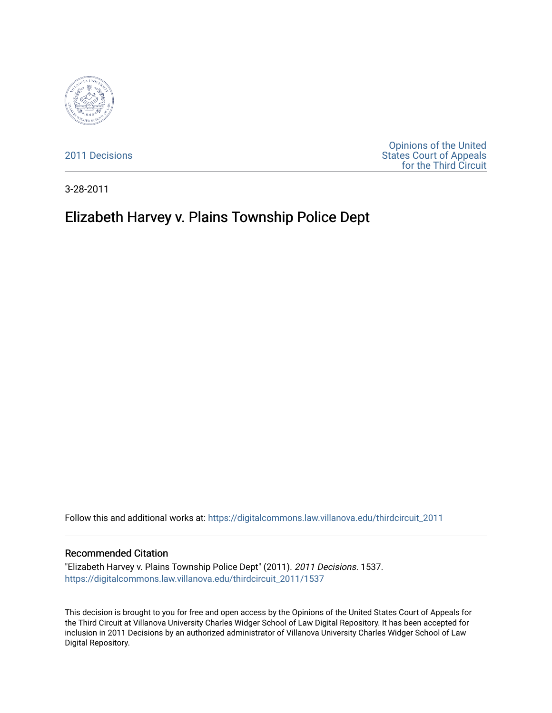

[2011 Decisions](https://digitalcommons.law.villanova.edu/thirdcircuit_2011)

[Opinions of the United](https://digitalcommons.law.villanova.edu/thirdcircuit)  [States Court of Appeals](https://digitalcommons.law.villanova.edu/thirdcircuit)  [for the Third Circuit](https://digitalcommons.law.villanova.edu/thirdcircuit) 

3-28-2011

# Elizabeth Harvey v. Plains Township Police Dept

Follow this and additional works at: [https://digitalcommons.law.villanova.edu/thirdcircuit\\_2011](https://digitalcommons.law.villanova.edu/thirdcircuit_2011?utm_source=digitalcommons.law.villanova.edu%2Fthirdcircuit_2011%2F1537&utm_medium=PDF&utm_campaign=PDFCoverPages) 

#### Recommended Citation

"Elizabeth Harvey v. Plains Township Police Dept" (2011). 2011 Decisions. 1537. [https://digitalcommons.law.villanova.edu/thirdcircuit\\_2011/1537](https://digitalcommons.law.villanova.edu/thirdcircuit_2011/1537?utm_source=digitalcommons.law.villanova.edu%2Fthirdcircuit_2011%2F1537&utm_medium=PDF&utm_campaign=PDFCoverPages) 

This decision is brought to you for free and open access by the Opinions of the United States Court of Appeals for the Third Circuit at Villanova University Charles Widger School of Law Digital Repository. It has been accepted for inclusion in 2011 Decisions by an authorized administrator of Villanova University Charles Widger School of Law Digital Repository.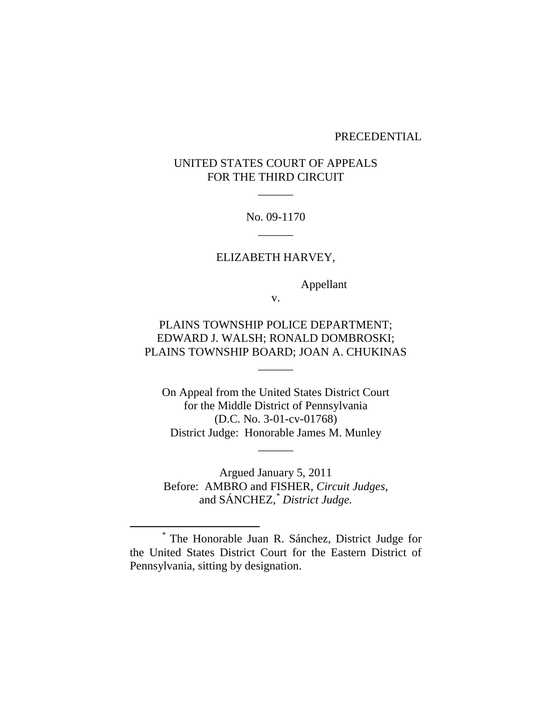#### PRECEDENTIAL

# UNITED STATES COURT OF APPEALS FOR THE THIRD CIRCUIT

 $\overline{\phantom{a}}$ 

No. 09-1170  $\overline{\phantom{a}}$ 

#### ELIZABETH HARVEY,

Appellant

v.

# PLAINS TOWNSHIP POLICE DEPARTMENT; EDWARD J. WALSH; RONALD DOMBROSKI; PLAINS TOWNSHIP BOARD; JOAN A. CHUKINAS

 $\overline{\phantom{a}}$ 

On Appeal from the United States District Court for the Middle District of Pennsylvania (D.C. No. 3-01-cv-01768) District Judge: Honorable James M. Munley

 $\overline{\phantom{a}}$ 

Argued January 5, 2011 Before: AMBRO and FISHER, *Circuit Judges*, and SÁNCHEZ, *\* District Judge.*

\* The Honorable Juan R. Sánchez, District Judge for the United States District Court for the Eastern District of Pennsylvania, sitting by designation.

 $\overline{a}$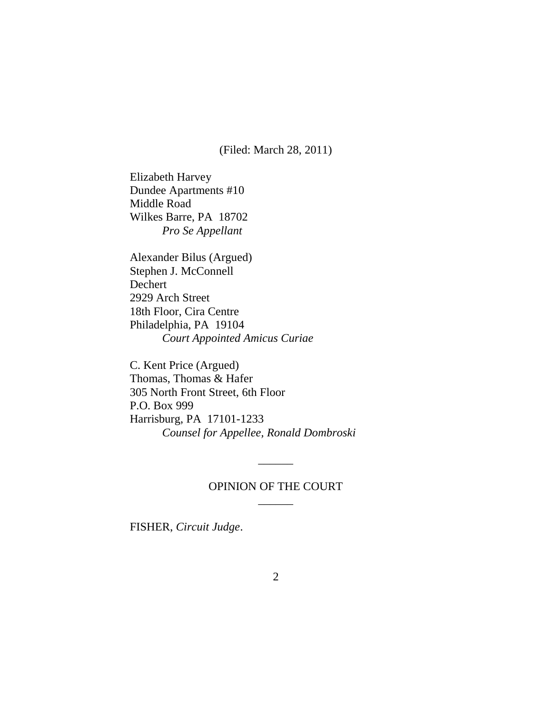(Filed: March 28, 2011)

Elizabeth Harvey Dundee Apartments #10 Middle Road Wilkes Barre, PA 18702 *Pro Se Appellant*

Alexander Bilus (Argued) Stephen J. McConnell Dechert 2929 Arch Street 18th Floor, Cira Centre Philadelphia, PA 19104 *Court Appointed Amicus Curiae*

C. Kent Price (Argued) Thomas, Thomas & Hafer 305 North Front Street, 6th Floor P.O. Box 999 Harrisburg, PA 17101-1233 *Counsel for Appellee, Ronald Dombroski*

## OPINION OF THE COURT  $\overline{\phantom{a}}$

 $\overline{\phantom{a}}$ 

FISHER, *Circuit Judge*.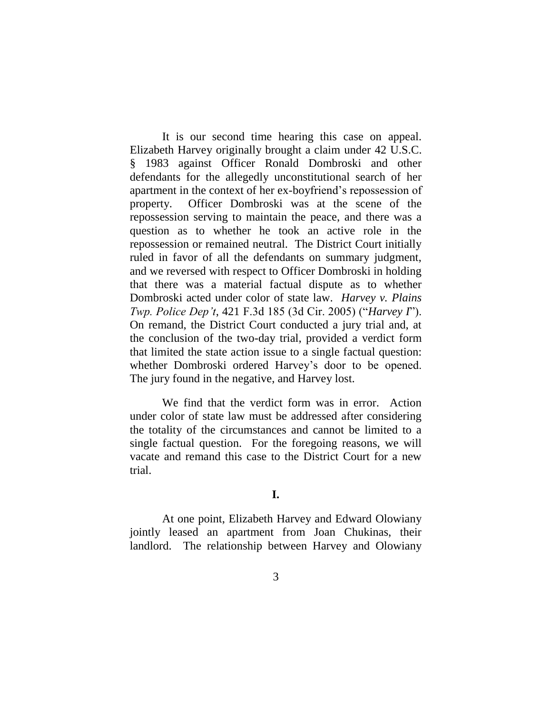It is our second time hearing this case on appeal. Elizabeth Harvey originally brought a claim under 42 U.S.C. § 1983 against Officer Ronald Dombroski and other defendants for the allegedly unconstitutional search of her apartment in the context of her ex-boyfriend"s repossession of property. Officer Dombroski was at the scene of the repossession serving to maintain the peace, and there was a question as to whether he took an active role in the repossession or remained neutral. The District Court initially ruled in favor of all the defendants on summary judgment, and we reversed with respect to Officer Dombroski in holding that there was a material factual dispute as to whether Dombroski acted under color of state law. *Harvey v. Plains Twp. Police Dep't*, 421 F.3d 185 (3d Cir. 2005) ("*Harvey I*"). On remand, the District Court conducted a jury trial and, at the conclusion of the two-day trial, provided a verdict form that limited the state action issue to a single factual question: whether Dombroski ordered Harvey's door to be opened. The jury found in the negative, and Harvey lost.

We find that the verdict form was in error. Action under color of state law must be addressed after considering the totality of the circumstances and cannot be limited to a single factual question. For the foregoing reasons, we will vacate and remand this case to the District Court for a new trial.

### **I.**

At one point, Elizabeth Harvey and Edward Olowiany jointly leased an apartment from Joan Chukinas, their landlord. The relationship between Harvey and Olowiany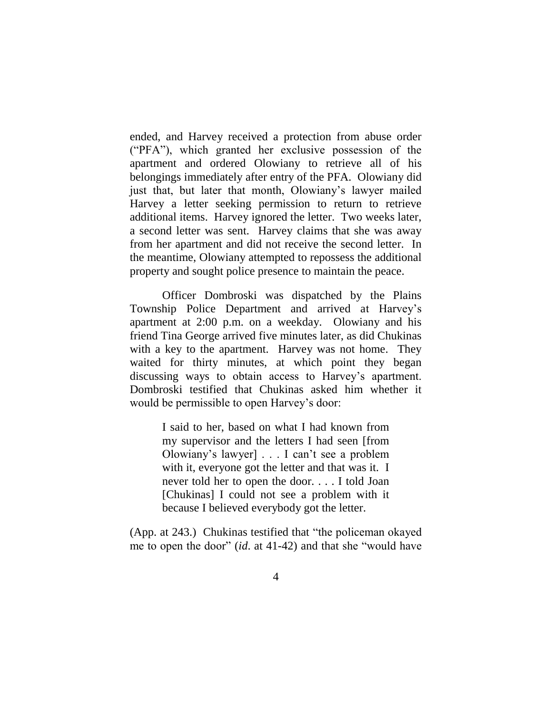ended, and Harvey received a protection from abuse order ("PFA"), which granted her exclusive possession of the apartment and ordered Olowiany to retrieve all of his belongings immediately after entry of the PFA. Olowiany did just that, but later that month, Olowiany's lawyer mailed Harvey a letter seeking permission to return to retrieve additional items. Harvey ignored the letter. Two weeks later, a second letter was sent. Harvey claims that she was away from her apartment and did not receive the second letter. In the meantime, Olowiany attempted to repossess the additional property and sought police presence to maintain the peace.

Officer Dombroski was dispatched by the Plains Township Police Department and arrived at Harvey"s apartment at 2:00 p.m. on a weekday. Olowiany and his friend Tina George arrived five minutes later, as did Chukinas with a key to the apartment. Harvey was not home. They waited for thirty minutes, at which point they began discussing ways to obtain access to Harvey"s apartment. Dombroski testified that Chukinas asked him whether it would be permissible to open Harvey's door:

> I said to her, based on what I had known from my supervisor and the letters I had seen [from Olowiany"s lawyer] . . . I can"t see a problem with it, everyone got the letter and that was it. I never told her to open the door. . . . I told Joan [Chukinas] I could not see a problem with it because I believed everybody got the letter.

(App. at 243.) Chukinas testified that "the policeman okayed me to open the door" (*id*. at 41-42) and that she "would have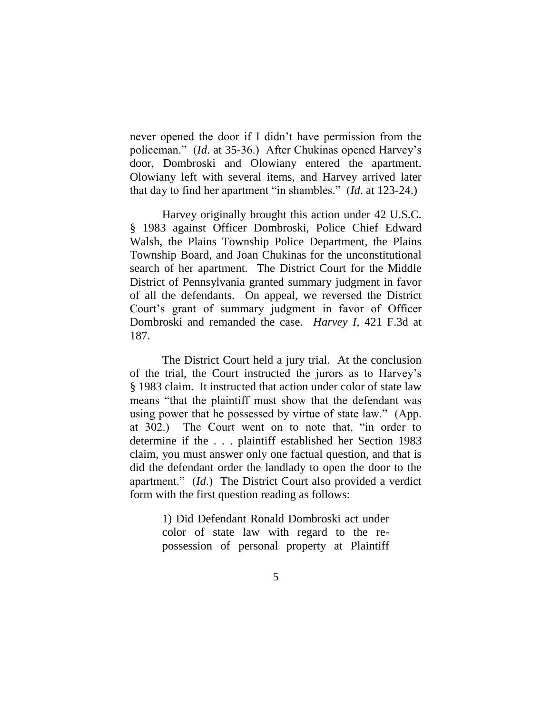never opened the door if I didn"t have permission from the policeman." *(Id.* at 35-36.) After Chukinas opened Harvey's door, Dombroski and Olowiany entered the apartment. Olowiany left with several items, and Harvey arrived later that day to find her apartment "in shambles." (*Id*. at 123-24.)

Harvey originally brought this action under 42 U.S.C. § 1983 against Officer Dombroski, Police Chief Edward Walsh, the Plains Township Police Department, the Plains Township Board, and Joan Chukinas for the unconstitutional search of her apartment. The District Court for the Middle District of Pennsylvania granted summary judgment in favor of all the defendants. On appeal, we reversed the District Court"s grant of summary judgment in favor of Officer Dombroski and remanded the case. *Harvey I*, 421 F.3d at 187.

The District Court held a jury trial. At the conclusion of the trial, the Court instructed the jurors as to Harvey"s § 1983 claim. It instructed that action under color of state law means "that the plaintiff must show that the defendant was using power that he possessed by virtue of state law." (App. at 302.) The Court went on to note that, "in order to determine if the . . . plaintiff established her Section 1983 claim, you must answer only one factual question, and that is did the defendant order the landlady to open the door to the apartment." (*Id*.) The District Court also provided a verdict form with the first question reading as follows:

> 1) Did Defendant Ronald Dombroski act under color of state law with regard to the repossession of personal property at Plaintiff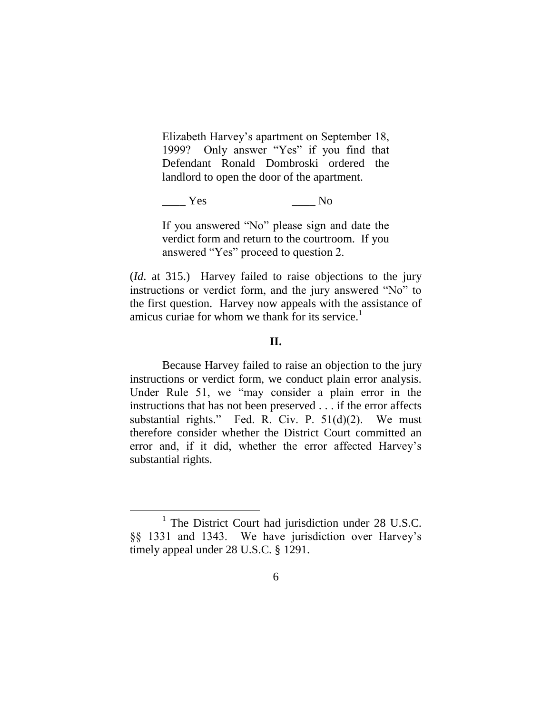Elizabeth Harvey"s apartment on September 18, 1999? Only answer "Yes" if you find that Defendant Ronald Dombroski ordered the landlord to open the door of the apartment.

Yes No

If you answered "No" please sign and date the verdict form and return to the courtroom. If you answered "Yes" proceed to question 2.

(*Id*. at 315.) Harvey failed to raise objections to the jury instructions or verdict form, and the jury answered "No" to the first question. Harvey now appeals with the assistance of amicus curiae for whom we thank for its service. $1$ 

### **II.**

Because Harvey failed to raise an objection to the jury instructions or verdict form, we conduct plain error analysis. Under Rule 51, we "may consider a plain error in the instructions that has not been preserved . . . if the error affects substantial rights." Fed. R. Civ. P.  $51(d)(2)$ . We must therefore consider whether the District Court committed an error and, if it did, whether the error affected Harvey"s substantial rights.

<sup>&</sup>lt;sup>1</sup> The District Court had jurisdiction under 28 U.S.C. §§ 1331 and 1343. We have jurisdiction over Harvey"s timely appeal under 28 U.S.C. § 1291.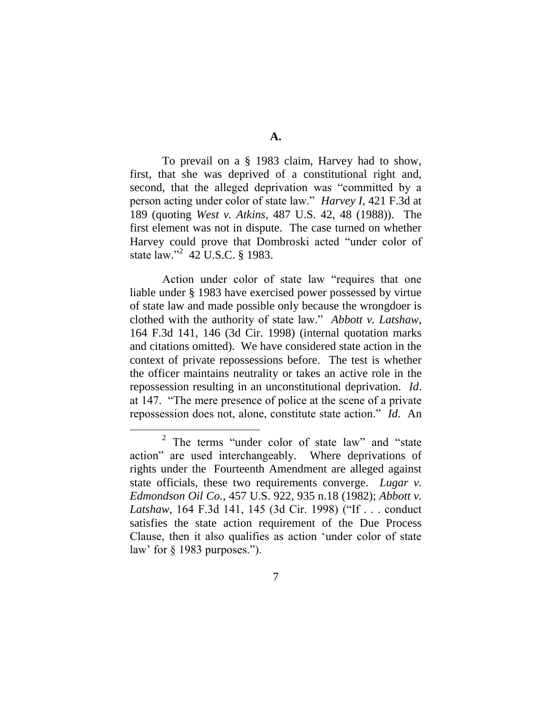To prevail on a § 1983 claim, Harvey had to show, first, that she was deprived of a constitutional right and, second, that the alleged deprivation was "committed by a person acting under color of state law." *Harvey I*, 421 F.3d at 189 (quoting *West v. Atkins*, 487 U.S. 42, 48 (1988)). The first element was not in dispute. The case turned on whether Harvey could prove that Dombroski acted "under color of state law."<sup>2</sup> 42 U.S.C. § 1983.

Action under color of state law "requires that one liable under § 1983 have exercised power possessed by virtue of state law and made possible only because the wrongdoer is clothed with the authority of state law." *Abbott v. Latshaw*, 164 F.3d 141, 146 (3d Cir. 1998) (internal quotation marks and citations omitted). We have considered state action in the context of private repossessions before. The test is whether the officer maintains neutrality or takes an active role in the repossession resulting in an unconstitutional deprivation. *Id*. at 147. "The mere presence of police at the scene of a private repossession does not, alone, constitute state action." *Id*. An

 $\overline{a}$ 

<sup>2</sup> The terms "under color of state law" and "state action" are used interchangeably. Where deprivations of rights under the Fourteenth Amendment are alleged against state officials, these two requirements converge. *Lugar v. Edmondson Oil Co.,* 457 U.S. 922, 935 n.18 (1982); *Abbott v. Latshaw*, 164 F.3d 141, 145 (3d Cir. 1998) ("If . . . conduct satisfies the state action requirement of the Due Process Clause, then it also qualifies as action "under color of state law' for  $\S$  1983 purposes.").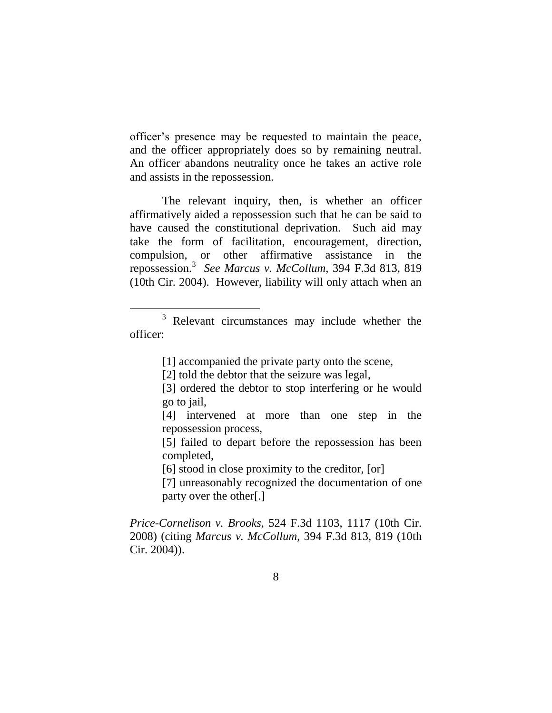officer"s presence may be requested to maintain the peace, and the officer appropriately does so by remaining neutral. An officer abandons neutrality once he takes an active role and assists in the repossession.

The relevant inquiry, then, is whether an officer affirmatively aided a repossession such that he can be said to have caused the constitutional deprivation. Such aid may take the form of facilitation, encouragement, direction, compulsion, or other affirmative assistance in the repossession.<sup>3</sup> *See Marcus v. McCollum*, 394 F.3d 813, 819 (10th Cir. 2004). However, liability will only attach when an

[1] accompanied the private party onto the scene,

- [3] ordered the debtor to stop interfering or he would go to jail,
- [4] intervened at more than one step in the repossession process,
- [5] failed to depart before the repossession has been completed,
- [6] stood in close proximity to the creditor, [or]
- [7] unreasonably recognized the documentation of one party over the other[.]

*Price-Cornelison v. Brooks*, 524 F.3d 1103, 1117 (10th Cir. 2008) (citing *Marcus v. McCollum*, 394 F.3d 813, 819 (10th Cir. 2004)).

<sup>3</sup> Relevant circumstances may include whether the officer:

<sup>[2]</sup> told the debtor that the seizure was legal,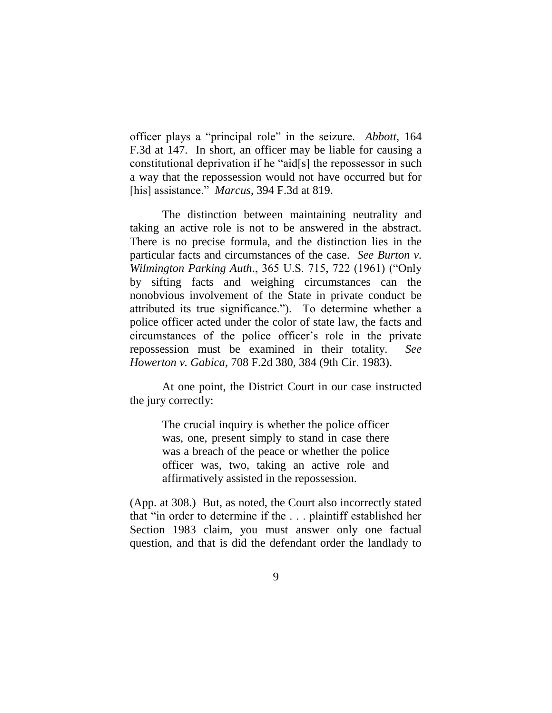officer plays a "principal role" in the seizure. *Abbott*, 164 F.3d at 147. In short, an officer may be liable for causing a constitutional deprivation if he "aid[s] the repossessor in such a way that the repossession would not have occurred but for [his] assistance." *Marcus*, 394 F.3d at 819.

The distinction between maintaining neutrality and taking an active role is not to be answered in the abstract. There is no precise formula, and the distinction lies in the particular facts and circumstances of the case. *See Burton v. Wilmington Parking Auth*., 365 U.S. 715, 722 (1961) ("Only by sifting facts and weighing circumstances can the nonobvious involvement of the State in private conduct be attributed its true significance."). To determine whether a police officer acted under the color of state law, the facts and circumstances of the police officer"s role in the private repossession must be examined in their totality. *See Howerton v. Gabica*, 708 F.2d 380, 384 (9th Cir. 1983).

At one point, the District Court in our case instructed the jury correctly:

> The crucial inquiry is whether the police officer was, one, present simply to stand in case there was a breach of the peace or whether the police officer was, two, taking an active role and affirmatively assisted in the repossession.

(App. at 308.) But, as noted, the Court also incorrectly stated that "in order to determine if the . . . plaintiff established her Section 1983 claim, you must answer only one factual question, and that is did the defendant order the landlady to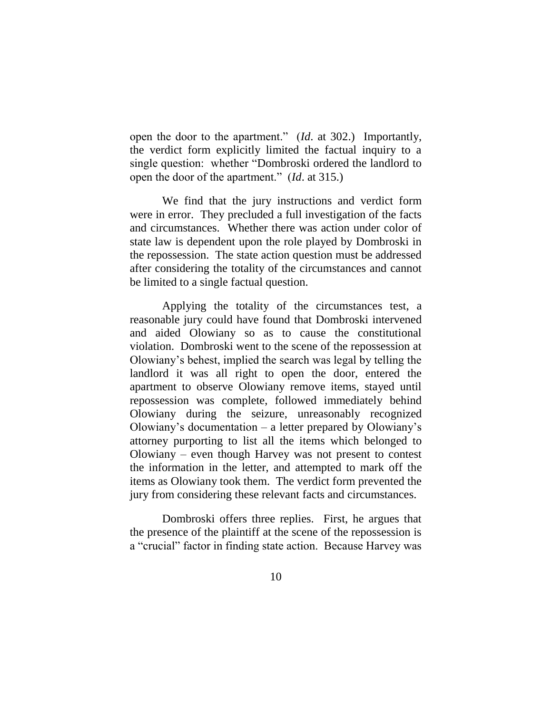open the door to the apartment." (*Id*. at 302.) Importantly, the verdict form explicitly limited the factual inquiry to a single question: whether "Dombroski ordered the landlord to open the door of the apartment." (*Id*. at 315.)

We find that the jury instructions and verdict form were in error. They precluded a full investigation of the facts and circumstances. Whether there was action under color of state law is dependent upon the role played by Dombroski in the repossession. The state action question must be addressed after considering the totality of the circumstances and cannot be limited to a single factual question.

Applying the totality of the circumstances test, a reasonable jury could have found that Dombroski intervened and aided Olowiany so as to cause the constitutional violation. Dombroski went to the scene of the repossession at Olowiany"s behest, implied the search was legal by telling the landlord it was all right to open the door, entered the apartment to observe Olowiany remove items, stayed until repossession was complete, followed immediately behind Olowiany during the seizure, unreasonably recognized Olowiany"s documentation – a letter prepared by Olowiany"s attorney purporting to list all the items which belonged to Olowiany – even though Harvey was not present to contest the information in the letter, and attempted to mark off the items as Olowiany took them. The verdict form prevented the jury from considering these relevant facts and circumstances.

Dombroski offers three replies. First, he argues that the presence of the plaintiff at the scene of the repossession is a "crucial" factor in finding state action. Because Harvey was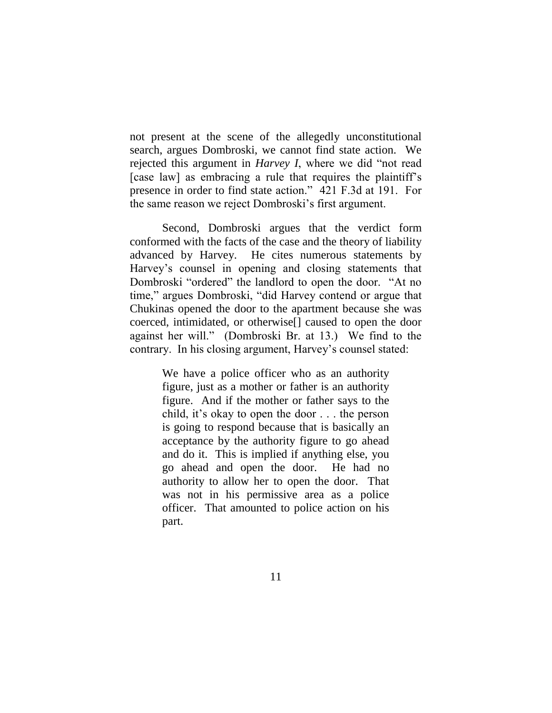not present at the scene of the allegedly unconstitutional search, argues Dombroski, we cannot find state action. We rejected this argument in *Harvey I*, where we did "not read [case law] as embracing a rule that requires the plaintiff's presence in order to find state action." 421 F.3d at 191. For the same reason we reject Dombroski"s first argument.

Second, Dombroski argues that the verdict form conformed with the facts of the case and the theory of liability advanced by Harvey. He cites numerous statements by Harvey"s counsel in opening and closing statements that Dombroski "ordered" the landlord to open the door. "At no time," argues Dombroski, "did Harvey contend or argue that Chukinas opened the door to the apartment because she was coerced, intimidated, or otherwise[] caused to open the door against her will." (Dombroski Br. at 13.) We find to the contrary. In his closing argument, Harvey"s counsel stated:

> We have a police officer who as an authority figure, just as a mother or father is an authority figure. And if the mother or father says to the child, it"s okay to open the door . . . the person is going to respond because that is basically an acceptance by the authority figure to go ahead and do it. This is implied if anything else, you go ahead and open the door. He had no authority to allow her to open the door. That was not in his permissive area as a police officer. That amounted to police action on his part.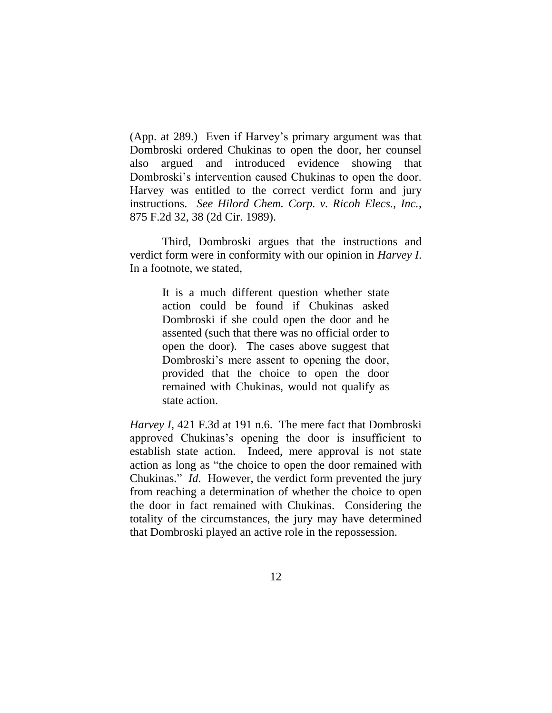(App. at 289.) Even if Harvey"s primary argument was that Dombroski ordered Chukinas to open the door, her counsel also argued and introduced evidence showing that Dombroski"s intervention caused Chukinas to open the door. Harvey was entitled to the correct verdict form and jury instructions. *See Hilord Chem. Corp. v. Ricoh Elecs., Inc.*, 875 F.2d 32, 38 (2d Cir. 1989).

Third, Dombroski argues that the instructions and verdict form were in conformity with our opinion in *Harvey I*. In a footnote, we stated,

> It is a much different question whether state action could be found if Chukinas asked Dombroski if she could open the door and he assented (such that there was no official order to open the door). The cases above suggest that Dombroski's mere assent to opening the door, provided that the choice to open the door remained with Chukinas, would not qualify as state action.

*Harvey I*, 421 F.3d at 191 n.6. The mere fact that Dombroski approved Chukinas"s opening the door is insufficient to establish state action. Indeed, mere approval is not state action as long as "the choice to open the door remained with Chukinas." *Id*. However, the verdict form prevented the jury from reaching a determination of whether the choice to open the door in fact remained with Chukinas. Considering the totality of the circumstances, the jury may have determined that Dombroski played an active role in the repossession.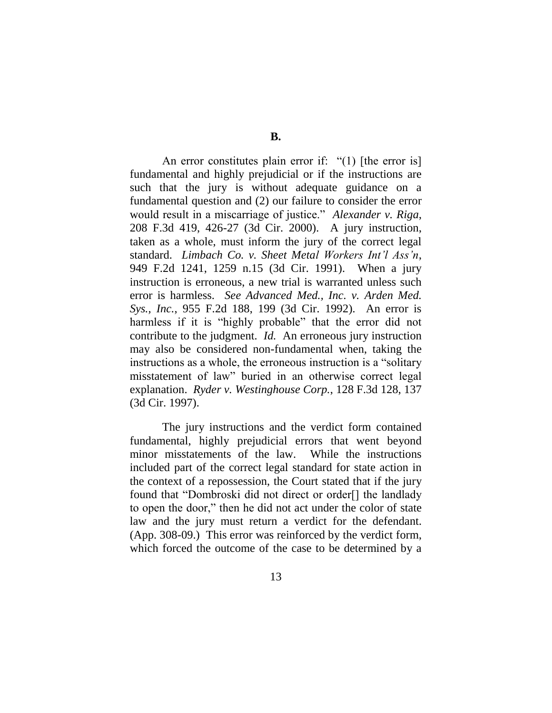An error constitutes plain error if: "(1) [the error is] fundamental and highly prejudicial or if the instructions are such that the jury is without adequate guidance on a fundamental question and (2) our failure to consider the error would result in a miscarriage of justice." *Alexander v. Riga*, 208 F.3d 419, 426-27 (3d Cir. 2000). A jury instruction, taken as a whole, must inform the jury of the correct legal standard. *Limbach Co. v. Sheet Metal Workers Int'l Ass'n*, 949 F.2d 1241, 1259 n.15 (3d Cir. 1991). When a jury instruction is erroneous, a new trial is warranted unless such error is harmless. *See Advanced Med., Inc. v. Arden Med. Sys., Inc.*, 955 F.2d 188, 199 (3d Cir. 1992). An error is harmless if it is "highly probable" that the error did not contribute to the judgment. *Id.* An erroneous jury instruction may also be considered non-fundamental when, taking the instructions as a whole, the erroneous instruction is a "solitary misstatement of law" buried in an otherwise correct legal explanation. *Ryder v. Westinghouse Corp.*, 128 F.3d 128, 137 (3d Cir. 1997).

The jury instructions and the verdict form contained fundamental, highly prejudicial errors that went beyond minor misstatements of the law. While the instructions included part of the correct legal standard for state action in the context of a repossession, the Court stated that if the jury found that "Dombroski did not direct or order[] the landlady to open the door," then he did not act under the color of state law and the jury must return a verdict for the defendant. (App. 308-09.) This error was reinforced by the verdict form, which forced the outcome of the case to be determined by a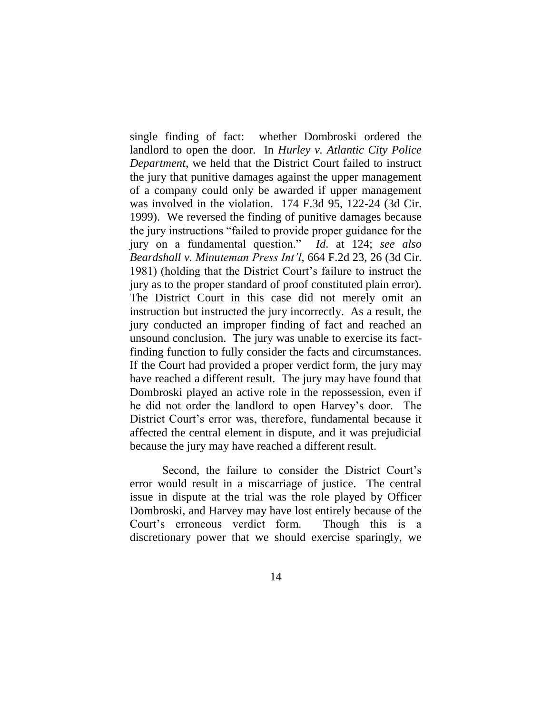single finding of fact: whether Dombroski ordered the landlord to open the door. In *Hurley v. Atlantic City Police Department*, we held that the District Court failed to instruct the jury that punitive damages against the upper management of a company could only be awarded if upper management was involved in the violation. 174 F.3d 95, 122-24 (3d Cir. 1999). We reversed the finding of punitive damages because the jury instructions "failed to provide proper guidance for the jury on a fundamental question." *Id*. at 124; *see also Beardshall v. Minuteman Press Int'l*, 664 F.2d 23, 26 (3d Cir. 1981) (holding that the District Court"s failure to instruct the jury as to the proper standard of proof constituted plain error). The District Court in this case did not merely omit an instruction but instructed the jury incorrectly. As a result, the jury conducted an improper finding of fact and reached an unsound conclusion. The jury was unable to exercise its factfinding function to fully consider the facts and circumstances. If the Court had provided a proper verdict form, the jury may have reached a different result. The jury may have found that Dombroski played an active role in the repossession, even if he did not order the landlord to open Harvey"s door. The District Court's error was, therefore, fundamental because it affected the central element in dispute, and it was prejudicial because the jury may have reached a different result.

Second, the failure to consider the District Court's error would result in a miscarriage of justice. The central issue in dispute at the trial was the role played by Officer Dombroski, and Harvey may have lost entirely because of the Court"s erroneous verdict form. Though this is a discretionary power that we should exercise sparingly, we